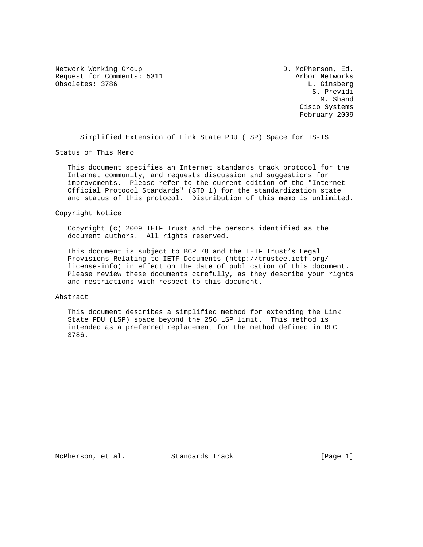Network Working Group  $D.$  McPherson, Ed. Request for Comments: 5311 Arbor Networks Obsoletes: 3786 L. Ginsberg

 S. Previdi M. Shand Cisco Systems February 2009

Simplified Extension of Link State PDU (LSP) Space for IS-IS

Status of This Memo

 This document specifies an Internet standards track protocol for the Internet community, and requests discussion and suggestions for improvements. Please refer to the current edition of the "Internet Official Protocol Standards" (STD 1) for the standardization state and status of this protocol. Distribution of this memo is unlimited.

### Copyright Notice

 Copyright (c) 2009 IETF Trust and the persons identified as the document authors. All rights reserved.

 This document is subject to BCP 78 and the IETF Trust's Legal Provisions Relating to IETF Documents (http://trustee.ietf.org/ license-info) in effect on the date of publication of this document. Please review these documents carefully, as they describe your rights and restrictions with respect to this document.

### Abstract

 This document describes a simplified method for extending the Link State PDU (LSP) space beyond the 256 LSP limit. This method is intended as a preferred replacement for the method defined in RFC 3786.

McPherson, et al. Standards Track [Page 1]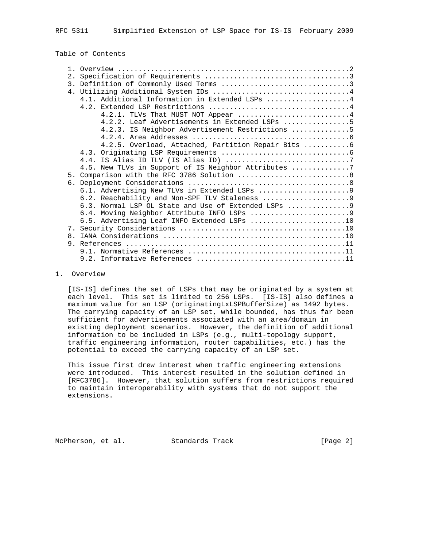RFC 5311 Simplified Extension of LSP Space for IS-IS February 2009

Table of Contents

|                | 4.1. Additional Information in Extended LSPs 4       |
|----------------|------------------------------------------------------|
|                |                                                      |
|                | 4.2.1. TLVs That MUST NOT Appear 4                   |
|                | 4.2.2. Leaf Advertisements in Extended LSPs 5        |
|                | 4.2.3. IS Neighbor Advertisement Restrictions 5      |
|                |                                                      |
|                | 4.2.5. Overload, Attached, Partition Repair Bits 6   |
|                |                                                      |
|                |                                                      |
|                | 4.5. New TLVs in Support of IS Neighbor Attributes   |
|                |                                                      |
|                |                                                      |
|                |                                                      |
|                |                                                      |
|                | 6.3. Normal LSP OL State and Use of Extended LSPs  9 |
|                |                                                      |
|                | 6.5. Advertising Leaf INFO Extended LSPs 10          |
|                |                                                      |
| 8 <sub>1</sub> |                                                      |
|                |                                                      |
|                |                                                      |
|                |                                                      |
|                |                                                      |

#### 1. Overview

 [IS-IS] defines the set of LSPs that may be originated by a system at each level. This set is limited to 256 LSPs. [IS-IS] also defines a maximum value for an LSP (originatingLxLSPBufferSize) as 1492 bytes. The carrying capacity of an LSP set, while bounded, has thus far been sufficient for advertisements associated with an area/domain in existing deployment scenarios. However, the definition of additional information to be included in LSPs (e.g., multi-topology support, traffic engineering information, router capabilities, etc.) has the potential to exceed the carrying capacity of an LSP set.

 This issue first drew interest when traffic engineering extensions were introduced. This interest resulted in the solution defined in [RFC3786]. However, that solution suffers from restrictions required to maintain interoperability with systems that do not support the extensions.

McPherson, et al. Standards Track [Page 2]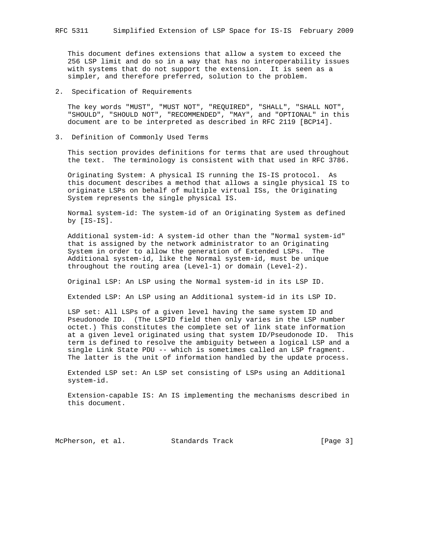This document defines extensions that allow a system to exceed the 256 LSP limit and do so in a way that has no interoperability issues with systems that do not support the extension. It is seen as a simpler, and therefore preferred, solution to the problem.

2. Specification of Requirements

 The key words "MUST", "MUST NOT", "REQUIRED", "SHALL", "SHALL NOT", "SHOULD", "SHOULD NOT", "RECOMMENDED", "MAY", and "OPTIONAL" in this document are to be interpreted as described in RFC 2119 [BCP14].

3. Definition of Commonly Used Terms

 This section provides definitions for terms that are used throughout the text. The terminology is consistent with that used in RFC 3786.

 Originating System: A physical IS running the IS-IS protocol. As this document describes a method that allows a single physical IS to originate LSPs on behalf of multiple virtual ISs, the Originating System represents the single physical IS.

 Normal system-id: The system-id of an Originating System as defined by [IS-IS].

 Additional system-id: A system-id other than the "Normal system-id" that is assigned by the network administrator to an Originating System in order to allow the generation of Extended LSPs. The Additional system-id, like the Normal system-id, must be unique throughout the routing area (Level-1) or domain (Level-2).

Original LSP: An LSP using the Normal system-id in its LSP ID.

Extended LSP: An LSP using an Additional system-id in its LSP ID.

 LSP set: All LSPs of a given level having the same system ID and Pseudonode ID. (The LSPID field then only varies in the LSP number octet.) This constitutes the complete set of link state information at a given level originated using that system ID/Pseudonode ID. This term is defined to resolve the ambiguity between a logical LSP and a single Link State PDU -- which is sometimes called an LSP fragment. The latter is the unit of information handled by the update process.

 Extended LSP set: An LSP set consisting of LSPs using an Additional system-id.

 Extension-capable IS: An IS implementing the mechanisms described in this document.

McPherson, et al. Standards Track [Page 3]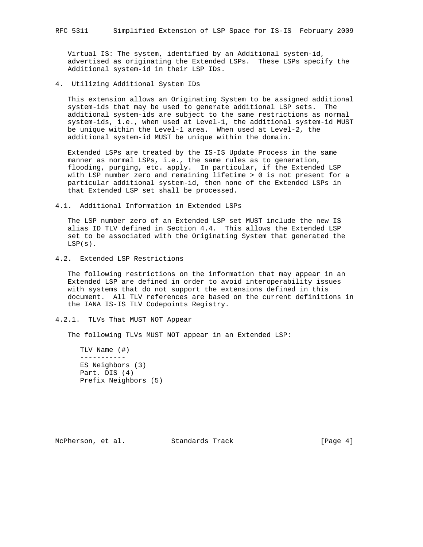Virtual IS: The system, identified by an Additional system-id, advertised as originating the Extended LSPs. These LSPs specify the Additional system-id in their LSP IDs.

4. Utilizing Additional System IDs

 This extension allows an Originating System to be assigned additional system-ids that may be used to generate additional LSP sets. The additional system-ids are subject to the same restrictions as normal system-ids, i.e., when used at Level-1, the additional system-id MUST be unique within the Level-1 area. When used at Level-2, the additional system-id MUST be unique within the domain.

 Extended LSPs are treated by the IS-IS Update Process in the same manner as normal LSPs, i.e., the same rules as to generation, flooding, purging, etc. apply. In particular, if the Extended LSP with LSP number zero and remaining lifetime > 0 is not present for a particular additional system-id, then none of the Extended LSPs in that Extended LSP set shall be processed.

4.1. Additional Information in Extended LSPs

 The LSP number zero of an Extended LSP set MUST include the new IS alias ID TLV defined in Section 4.4. This allows the Extended LSP set to be associated with the Originating System that generated the  $LSP(s)$ .

4.2. Extended LSP Restrictions

 The following restrictions on the information that may appear in an Extended LSP are defined in order to avoid interoperability issues with systems that do not support the extensions defined in this document. All TLV references are based on the current definitions in the IANA IS-IS TLV Codepoints Registry.

## 4.2.1. TLVs That MUST NOT Appear

The following TLVs MUST NOT appear in an Extended LSP:

 TLV Name (#) ----------- ES Neighbors (3) Part. DIS (4) Prefix Neighbors (5)

McPherson, et al. Standards Track [Page 4]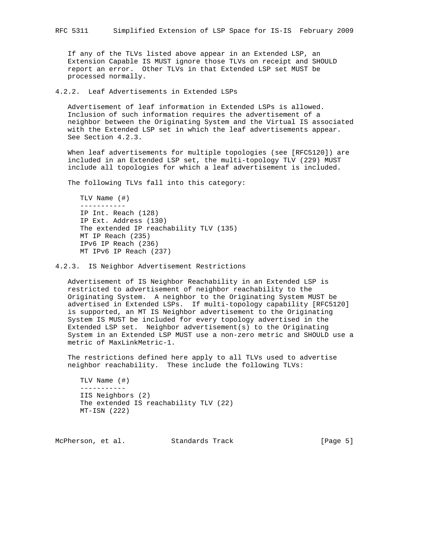If any of the TLVs listed above appear in an Extended LSP, an Extension Capable IS MUST ignore those TLVs on receipt and SHOULD report an error. Other TLVs in that Extended LSP set MUST be processed normally.

4.2.2. Leaf Advertisements in Extended LSPs

 Advertisement of leaf information in Extended LSPs is allowed. Inclusion of such information requires the advertisement of a neighbor between the Originating System and the Virtual IS associated with the Extended LSP set in which the leaf advertisements appear. See Section 4.2.3.

 When leaf advertisements for multiple topologies (see [RFC5120]) are included in an Extended LSP set, the multi-topology TLV (229) MUST include all topologies for which a leaf advertisement is included.

The following TLVs fall into this category:

```
 TLV Name (#)
-----------
IP Int. Reach (128)
IP Ext. Address (130)
The extended IP reachability TLV (135)
MT IP Reach (235)
IPv6 IP Reach (236)
MT IPv6 IP Reach (237)
```
4.2.3. IS Neighbor Advertisement Restrictions

 Advertisement of IS Neighbor Reachability in an Extended LSP is restricted to advertisement of neighbor reachability to the Originating System. A neighbor to the Originating System MUST be advertised in Extended LSPs. If multi-topology capability [RFC5120] is supported, an MT IS Neighbor advertisement to the Originating System IS MUST be included for every topology advertised in the Extended LSP set. Neighbor advertisement(s) to the Originating System in an Extended LSP MUST use a non-zero metric and SHOULD use a metric of MaxLinkMetric-1.

 The restrictions defined here apply to all TLVs used to advertise neighbor reachability. These include the following TLVs:

```
 TLV Name (#)
-----------
IIS Neighbors (2)
The extended IS reachability TLV (22)
MT-ISN (222)
```
McPherson, et al. Standards Track [Page 5]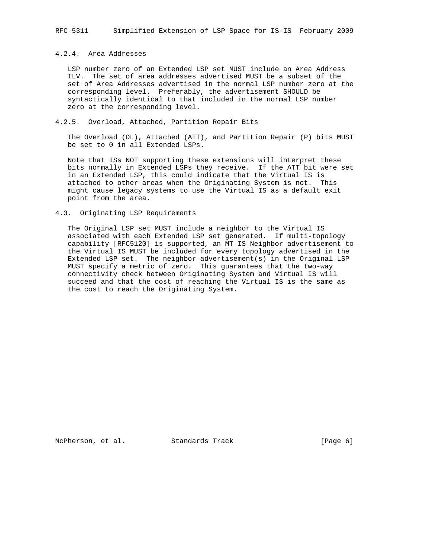# 4.2.4. Area Addresses

 LSP number zero of an Extended LSP set MUST include an Area Address TLV. The set of area addresses advertised MUST be a subset of the set of Area Addresses advertised in the normal LSP number zero at the corresponding level. Preferably, the advertisement SHOULD be syntactically identical to that included in the normal LSP number zero at the corresponding level.

## 4.2.5. Overload, Attached, Partition Repair Bits

 The Overload (OL), Attached (ATT), and Partition Repair (P) bits MUST be set to 0 in all Extended LSPs.

 Note that ISs NOT supporting these extensions will interpret these bits normally in Extended LSPs they receive. If the ATT bit were set in an Extended LSP, this could indicate that the Virtual IS is attached to other areas when the Originating System is not. This might cause legacy systems to use the Virtual IS as a default exit point from the area.

### 4.3. Originating LSP Requirements

 The Original LSP set MUST include a neighbor to the Virtual IS associated with each Extended LSP set generated. If multi-topology capability [RFC5120] is supported, an MT IS Neighbor advertisement to the Virtual IS MUST be included for every topology advertised in the Extended LSP set. The neighbor advertisement(s) in the Original LSP MUST specify a metric of zero. This guarantees that the two-way connectivity check between Originating System and Virtual IS will succeed and that the cost of reaching the Virtual IS is the same as the cost to reach the Originating System.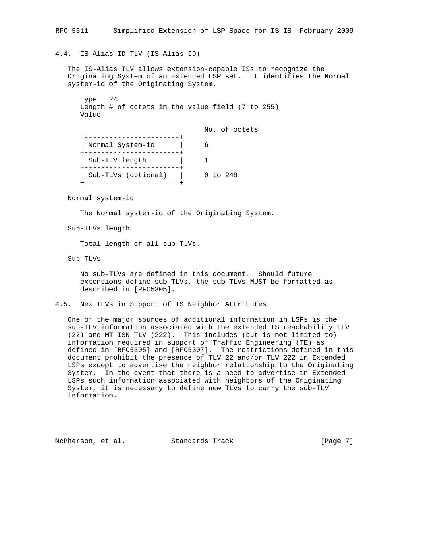# 4.4. IS Alias ID TLV (IS Alias ID)

 The IS-Alias TLV allows extension-capable ISs to recognize the Originating System of an Extended LSP set. It identifies the Normal system-id of the Originating System.

| $LYDE$ $24$ |  |                                                    |  |  |  |  |
|-------------|--|----------------------------------------------------|--|--|--|--|
|             |  | Length # of octets in the value field $(7$ to 255) |  |  |  |  |
| Value       |  |                                                    |  |  |  |  |

|                     | No. of octets |
|---------------------|---------------|
| Normal System-id    |               |
| Sub-TLV length      |               |
| Sub-TLVs (optional) | $0$ to $248$  |

Normal system-id

 $T = 24$ 

The Normal system-id of the Originating System.

Sub-TLVs length

Total length of all sub-TLVs.

Sub-TLVs

 No sub-TLVs are defined in this document. Should future extensions define sub-TLVs, the sub-TLVs MUST be formatted as described in [RFC5305].

4.5. New TLVs in Support of IS Neighbor Attributes

 One of the major sources of additional information in LSPs is the sub-TLV information associated with the extended IS reachability TLV (22) and MT-ISN TLV (222). This includes (but is not limited to) information required in support of Traffic Engineering (TE) as defined in [RFC5305] and [RFC5307]. The restrictions defined in this document prohibit the presence of TLV 22 and/or TLV 222 in Extended LSPs except to advertise the neighbor relationship to the Originating System. In the event that there is a need to advertise in Extended LSPs such information associated with neighbors of the Originating System, it is necessary to define new TLVs to carry the sub-TLV information.

McPherson, et al. Standards Track [Page 7]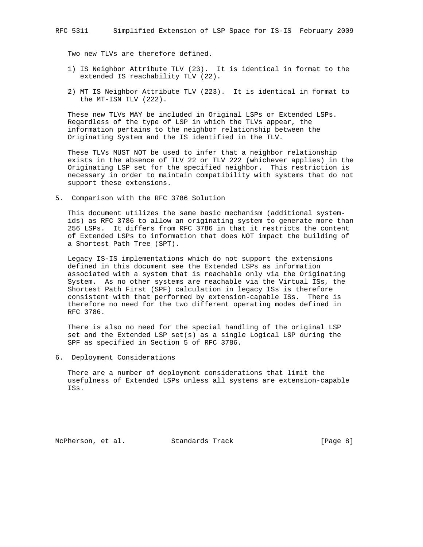Two new TLVs are therefore defined.

- 1) IS Neighbor Attribute TLV (23). It is identical in format to the extended IS reachability TLV (22).
- 2) MT IS Neighbor Attribute TLV (223). It is identical in format to the MT-ISN TLV (222).

 These new TLVs MAY be included in Original LSPs or Extended LSPs. Regardless of the type of LSP in which the TLVs appear, the information pertains to the neighbor relationship between the Originating System and the IS identified in the TLV.

 These TLVs MUST NOT be used to infer that a neighbor relationship exists in the absence of TLV 22 or TLV 222 (whichever applies) in the Originating LSP set for the specified neighbor. This restriction is necessary in order to maintain compatibility with systems that do not support these extensions.

5. Comparison with the RFC 3786 Solution

 This document utilizes the same basic mechanism (additional system ids) as RFC 3786 to allow an originating system to generate more than 256 LSPs. It differs from RFC 3786 in that it restricts the content of Extended LSPs to information that does NOT impact the building of a Shortest Path Tree (SPT).

 Legacy IS-IS implementations which do not support the extensions defined in this document see the Extended LSPs as information associated with a system that is reachable only via the Originating System. As no other systems are reachable via the Virtual ISs, the Shortest Path First (SPF) calculation in legacy ISs is therefore consistent with that performed by extension-capable ISs. There is therefore no need for the two different operating modes defined in RFC 3786.

 There is also no need for the special handling of the original LSP set and the Extended LSP set(s) as a single Logical LSP during the SPF as specified in Section 5 of RFC 3786.

6. Deployment Considerations

 There are a number of deployment considerations that limit the usefulness of Extended LSPs unless all systems are extension-capable ISs.

McPherson, et al. Standards Track [Page 8]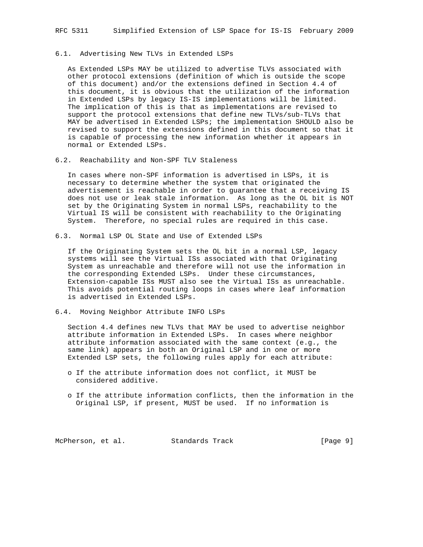## 6.1. Advertising New TLVs in Extended LSPs

 As Extended LSPs MAY be utilized to advertise TLVs associated with other protocol extensions (definition of which is outside the scope of this document) and/or the extensions defined in Section 4.4 of this document, it is obvious that the utilization of the information in Extended LSPs by legacy IS-IS implementations will be limited. The implication of this is that as implementations are revised to support the protocol extensions that define new TLVs/sub-TLVs that MAY be advertised in Extended LSPs; the implementation SHOULD also be revised to support the extensions defined in this document so that it is capable of processing the new information whether it appears in normal or Extended LSPs.

6.2. Reachability and Non-SPF TLV Staleness

 In cases where non-SPF information is advertised in LSPs, it is necessary to determine whether the system that originated the advertisement is reachable in order to guarantee that a receiving IS does not use or leak stale information. As long as the OL bit is NOT set by the Originating System in normal LSPs, reachability to the Virtual IS will be consistent with reachability to the Originating System. Therefore, no special rules are required in this case.

6.3. Normal LSP OL State and Use of Extended LSPs

 If the Originating System sets the OL bit in a normal LSP, legacy systems will see the Virtual ISs associated with that Originating System as unreachable and therefore will not use the information in the corresponding Extended LSPs. Under these circumstances, Extension-capable ISs MUST also see the Virtual ISs as unreachable. This avoids potential routing loops in cases where leaf information is advertised in Extended LSPs.

6.4. Moving Neighbor Attribute INFO LSPs

 Section 4.4 defines new TLVs that MAY be used to advertise neighbor attribute information in Extended LSPs. In cases where neighbor attribute information associated with the same context (e.g., the same link) appears in both an Original LSP and in one or more Extended LSP sets, the following rules apply for each attribute:

- o If the attribute information does not conflict, it MUST be considered additive.
- o If the attribute information conflicts, then the information in the Original LSP, if present, MUST be used. If no information is

McPherson, et al. Standards Track [Page 9]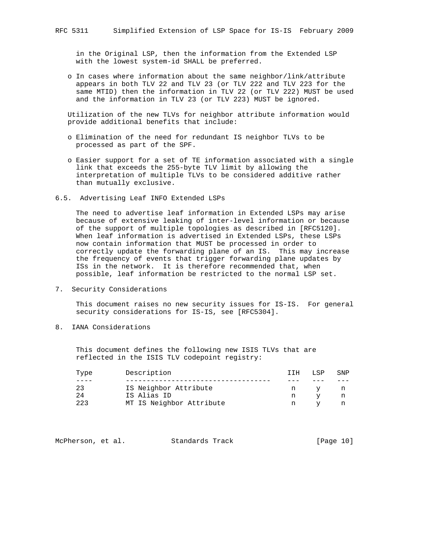in the Original LSP, then the information from the Extended LSP with the lowest system-id SHALL be preferred.

 o In cases where information about the same neighbor/link/attribute appears in both TLV 22 and TLV 23 (or TLV 222 and TLV 223 for the same MTID) then the information in TLV 22 (or TLV 222) MUST be used and the information in TLV 23 (or TLV 223) MUST be ignored.

 Utilization of the new TLVs for neighbor attribute information would provide additional benefits that include:

- o Elimination of the need for redundant IS neighbor TLVs to be processed as part of the SPF.
- o Easier support for a set of TE information associated with a single link that exceeds the 255-byte TLV limit by allowing the interpretation of multiple TLVs to be considered additive rather than mutually exclusive.
- 6.5. Advertising Leaf INFO Extended LSPs

 The need to advertise leaf information in Extended LSPs may arise because of extensive leaking of inter-level information or because of the support of multiple topologies as described in [RFC5120]. When leaf information is advertised in Extended LSPs, these LSPs now contain information that MUST be processed in order to correctly update the forwarding plane of an IS. This may increase the frequency of events that trigger forwarding plane updates by ISs in the network. It is therefore recommended that, when possible, leaf information be restricted to the normal LSP set.

7. Security Considerations

 This document raises no new security issues for IS-IS. For general security considerations for IS-IS, see [RFC5304].

8. IANA Considerations

 This document defines the following new ISIS TLVs that are reflected in the ISIS TLV codepoint registry:

| Type | Description              |   |  | SNP |
|------|--------------------------|---|--|-----|
|      |                          |   |  |     |
| 23   | IS Neighbor Attribute    | n |  |     |
| 24   | IS Alias ID              | n |  |     |
| 223  | MT IS Neighbor Attribute |   |  |     |

| McPherson, et al. |  | Standards Track |  | [Page 10] |  |  |
|-------------------|--|-----------------|--|-----------|--|--|
|-------------------|--|-----------------|--|-----------|--|--|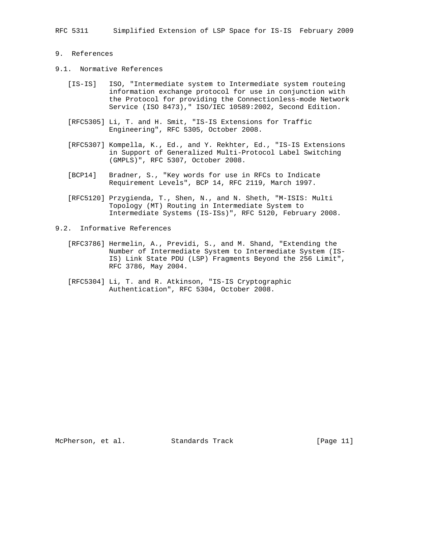RFC 5311 Simplified Extension of LSP Space for IS-IS February 2009

# 9. References

- 9.1. Normative References
	- [IS-IS] ISO, "Intermediate system to Intermediate system routeing information exchange protocol for use in conjunction with the Protocol for providing the Connectionless-mode Network Service (ISO 8473)," ISO/IEC 10589:2002, Second Edition.
	- [RFC5305] Li, T. and H. Smit, "IS-IS Extensions for Traffic Engineering", RFC 5305, October 2008.
	- [RFC5307] Kompella, K., Ed., and Y. Rekhter, Ed., "IS-IS Extensions in Support of Generalized Multi-Protocol Label Switching (GMPLS)", RFC 5307, October 2008.
	- [BCP14] Bradner, S., "Key words for use in RFCs to Indicate Requirement Levels", BCP 14, RFC 2119, March 1997.
	- [RFC5120] Przygienda, T., Shen, N., and N. Sheth, "M-ISIS: Multi Topology (MT) Routing in Intermediate System to Intermediate Systems (IS-ISs)", RFC 5120, February 2008.
- 9.2. Informative References
	- [RFC3786] Hermelin, A., Previdi, S., and M. Shand, "Extending the Number of Intermediate System to Intermediate System (IS- IS) Link State PDU (LSP) Fragments Beyond the 256 Limit", RFC 3786, May 2004.
	- [RFC5304] Li, T. and R. Atkinson, "IS-IS Cryptographic Authentication", RFC 5304, October 2008.

McPherson, et al. Standards Track [Page 11]